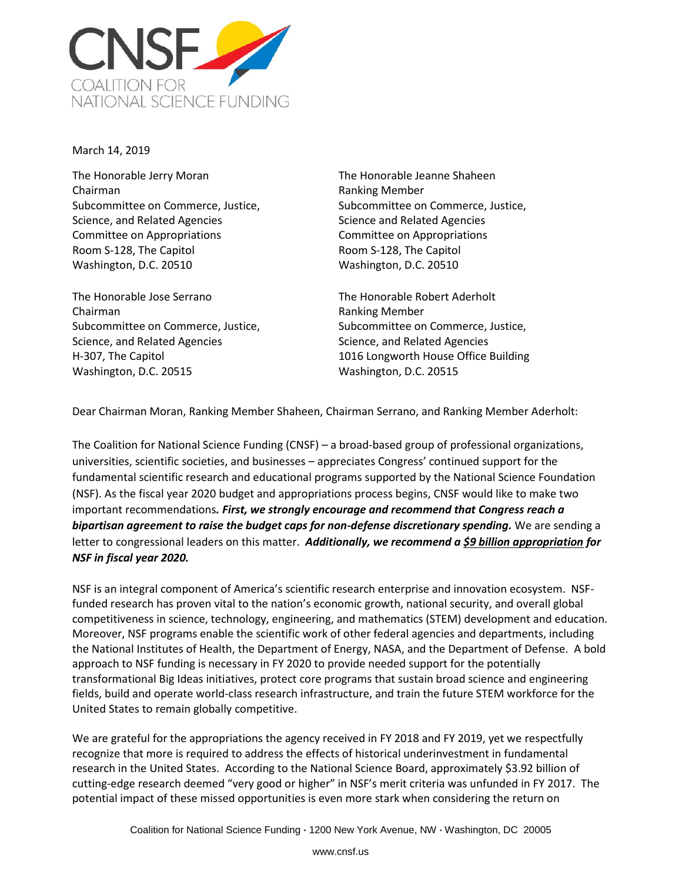

March 14, 2019

The Honorable Jerry Moran Chairman Subcommittee on Commerce, Justice, Science, and Related Agencies Committee on Appropriations Room S-128, The Capitol Washington, D.C. 20510

The Honorable Jose Serrano Chairman Subcommittee on Commerce, Justice, Science, and Related Agencies H-307, The Capitol Washington, D.C. 20515

The Honorable Jeanne Shaheen Ranking Member Subcommittee on Commerce, Justice, Science and Related Agencies Committee on Appropriations Room S-128, The Capitol Washington, D.C. 20510

The Honorable Robert Aderholt Ranking Member Subcommittee on Commerce, Justice, Science, and Related Agencies 1016 Longworth House Office Building Washington, D.C. 20515

Dear Chairman Moran, Ranking Member Shaheen, Chairman Serrano, and Ranking Member Aderholt:

The Coalition for National Science Funding (CNSF) – a broad-based group of professional organizations, universities, scientific societies, and businesses – appreciates Congress' continued support for the fundamental scientific research and educational programs supported by the National Science Foundation (NSF). As the fiscal year 2020 budget and appropriations process begins, CNSF would like to make two important recommendations*. First, we strongly encourage and recommend that Congress reach a bipartisan agreement to raise the budget caps for non-defense discretionary spending.* We are sending a letter to congressional leaders on this matter. *Additionally, we recommend a \$9 billion appropriation for NSF in fiscal year 2020.*

NSF is an integral component of America's scientific research enterprise and innovation ecosystem. NSFfunded research has proven vital to the nation's economic growth, national security, and overall global competitiveness in science, technology, engineering, and mathematics (STEM) development and education. Moreover, NSF programs enable the scientific work of other federal agencies and departments, including the National Institutes of Health, the Department of Energy, NASA, and the Department of Defense. A bold approach to NSF funding is necessary in FY 2020 to provide needed support for the potentially transformational Big Ideas initiatives, protect core programs that sustain broad science and engineering fields, build and operate world-class research infrastructure, and train the future STEM workforce for the United States to remain globally competitive.

We are grateful for the appropriations the agency received in FY 2018 and FY 2019, yet we respectfully recognize that more is required to address the effects of historical underinvestment in fundamental research in the United States. According to the National Science Board, approximately \$3.92 billion of cutting-edge research deemed "very good or higher" in NSF's merit criteria was unfunded in FY 2017. The potential impact of these missed opportunities is even more stark when considering the return on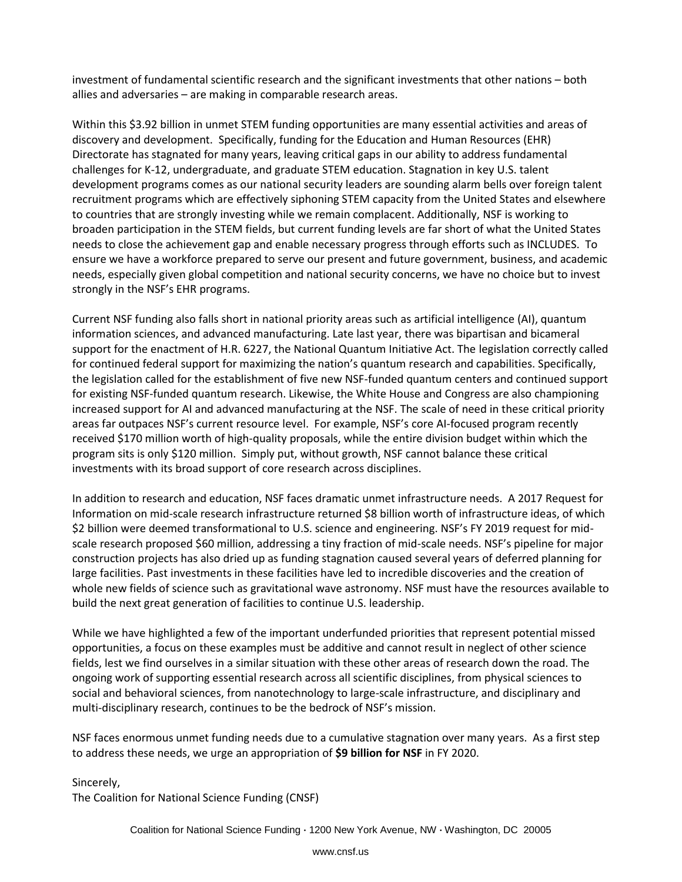investment of fundamental scientific research and the significant investments that other nations – both allies and adversaries – are making in comparable research areas.

Within this \$3.92 billion in unmet STEM funding opportunities are many essential activities and areas of discovery and development. Specifically, funding for the Education and Human Resources (EHR) Directorate has stagnated for many years, leaving critical gaps in our ability to address fundamental challenges for K-12, undergraduate, and graduate STEM education. Stagnation in key U.S. talent development programs comes as our national security leaders are sounding alarm bells over foreign talent recruitment programs which are effectively siphoning STEM capacity from the United States and elsewhere to countries that are strongly investing while we remain complacent. Additionally, NSF is working to broaden participation in the STEM fields, but current funding levels are far short of what the United States needs to close the achievement gap and enable necessary progress through efforts such as INCLUDES. To ensure we have a workforce prepared to serve our present and future government, business, and academic needs, especially given global competition and national security concerns, we have no choice but to invest strongly in the NSF's EHR programs.

Current NSF funding also falls short in national priority areas such as artificial intelligence (AI), quantum information sciences, and advanced manufacturing. Late last year, there was bipartisan and bicameral support for the enactment of H.R. 6227, the National Quantum Initiative Act. The legislation correctly called for continued federal support for maximizing the nation's quantum research and capabilities. Specifically, the legislation called for the establishment of five new NSF-funded quantum centers and continued support for existing NSF-funded quantum research. Likewise, the White House and Congress are also championing increased support for AI and advanced manufacturing at the NSF. The scale of need in these critical priority areas far outpaces NSF's current resource level. For example, NSF's core AI-focused program recently received \$170 million worth of high-quality proposals, while the entire division budget within which the program sits is only \$120 million. Simply put, without growth, NSF cannot balance these critical investments with its broad support of core research across disciplines.

In addition to research and education, NSF faces dramatic unmet infrastructure needs. A 2017 Request for Information on mid-scale research infrastructure returned \$8 billion worth of infrastructure ideas, of which \$2 billion were deemed transformational to U.S. science and engineering. NSF's FY 2019 request for midscale research proposed \$60 million, addressing a tiny fraction of mid-scale needs. NSF's pipeline for major construction projects has also dried up as funding stagnation caused several years of deferred planning for large facilities. Past investments in these facilities have led to incredible discoveries and the creation of whole new fields of science such as gravitational wave astronomy. NSF must have the resources available to build the next great generation of facilities to continue U.S. leadership.

While we have highlighted a few of the important underfunded priorities that represent potential missed opportunities, a focus on these examples must be additive and cannot result in neglect of other science fields, lest we find ourselves in a similar situation with these other areas of research down the road. The ongoing work of supporting essential research across all scientific disciplines, from physical sciences to social and behavioral sciences, from nanotechnology to large-scale infrastructure, and disciplinary and multi-disciplinary research, continues to be the bedrock of NSF's mission.

NSF faces enormous unmet funding needs due to a cumulative stagnation over many years. As a first step to address these needs, we urge an appropriation of **\$9 billion for NSF** in FY 2020.

Sincerely,

The Coalition for National Science Funding (CNSF)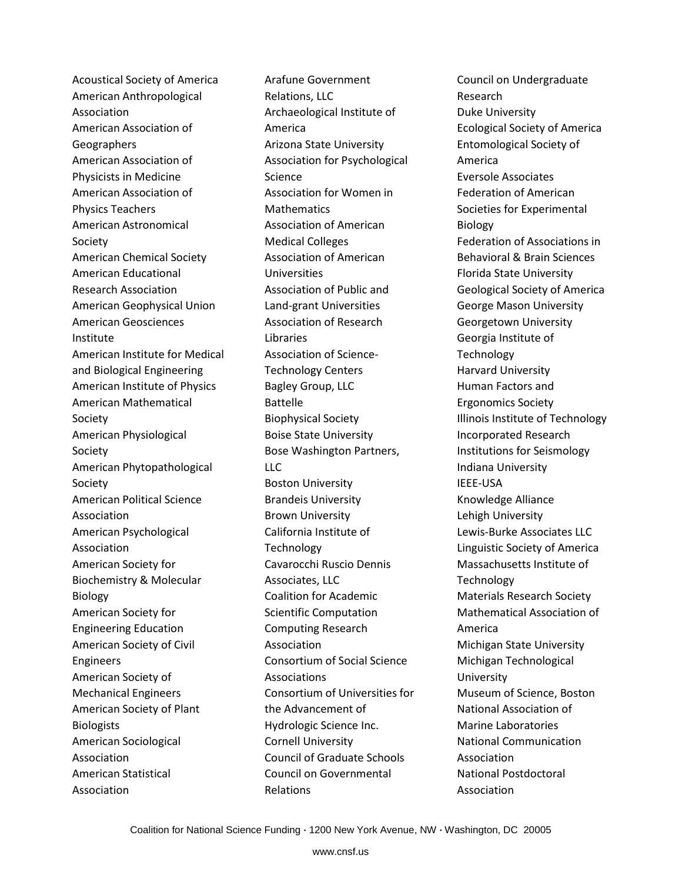Acoustical Society of America American Anthropological Association American Association of Geographers American Association of Physicists in Medicine American Association of Physics Teachers American Astronomical Society American Chemical Society American Educational Research Association American Geophysical Union American Geosciences Institute American Institute for Medical and Biological Engineering American Institute of Physics American Mathematical Society American Physiological Society American Phytopathological Society American Political Science Association American Psychological Association American Society for Biochemistry & Molecular Biology American Society for Engineering Education American Society of Civil Engineers American Society of Mechanical Engineers American Society of Plant **Biologists** American Sociological Association American Statistical Association

Arafune Government Relations, LLC Archaeological Institute of America Arizona State University Association for Psychological Science Association for Women in Mathematics Association of American Medical Colleges Association of American Universities Association of Public and Land-grant Universities Association of Research Libraries Association of Science-Technology Centers Bagley Group, LLC Battelle Biophysical Society Boise State University Bose Washington Partners, LLC Boston University Brandeis University Brown University California Institute of Technology Cavarocchi Ruscio Dennis Associates, LLC Coalition for Academic Scientific Computation Computing Research Association Consortium of Social Science Associations Consortium of Universities for the Advancement of Hydrologic Science Inc. Cornell University Council of Graduate Schools Council on Governmental Relations

Council on Undergraduate Research Duke University Ecological Society of America Entomological Society of America Eversole Associates Federation of American Societies for Experimental Biology Federation of Associations in Behavioral & Brain Sciences Florida State University Geological Society of America George Mason University Georgetown University Georgia Institute of **Technology** Harvard University Human Factors and Ergonomics Society Illinois Institute of Technology Incorporated Research Institutions for Seismology Indiana University IEEE-USA Knowledge Alliance Lehigh University Lewis-Burke Associates LLC Linguistic Society of America Massachusetts Institute of **Technology** Materials Research Society Mathematical Association of America Michigan State University Michigan Technological University Museum of Science, Boston National Association of Marine Laboratories National Communication Association National Postdoctoral Association